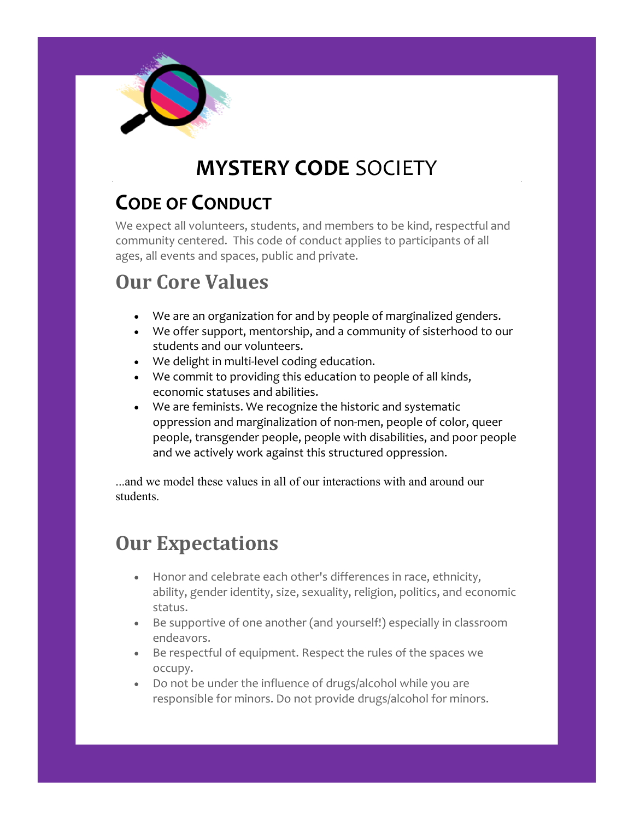

# **MYSTERY CODE** SOCIETY

## **CODE OF CONDUCT**

We expect all volunteers, students, and members to be kind, respectful and community centered. This code of conduct applies to participants of all ages, all events and spaces, public and private.

## **Our Core Values**

- We are an organization for and by people of marginalized genders.
- We offer support, mentorship, and a community of sisterhood to our students and our volunteers.
- We delight in multi-level coding education.
- We commit to providing this education to people of all kinds, economic statuses and abilities.
- We are feminists. We recognize the historic and systematic oppression and marginalization of non-men, people of color, queer people, transgender people, people with disabilities, and poor people and we actively work against this structured oppression.

...and we model these values in all of our interactions with and around our students.

#### **Our Expectations**

- Honor and celebrate each other's differences in race, ethnicity, ability, gender identity, size, sexuality, religion, politics, and economic status.
- Be supportive of one another (and yourself!) especially in classroom endeavors.
- Be respectful of equipment. Respect the rules of the spaces we occupy.
- Do not be under the influence of drugs/alcohol while you are responsible for minors. Do not provide drugs/alcohol for minors.